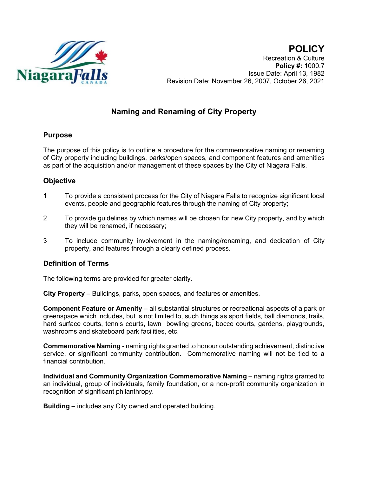

**POLICY** Recreation & Culture **Policy #:** 1000.7 Issue Date: April 13, 1982 Revision Date: November 26, 2007, October 26, 2021

# **Naming and Renaming of City Property**

# **Purpose**

The purpose of this policy is to outline a procedure for the commemorative naming or renaming of City property including buildings, parks/open spaces, and component features and amenities as part of the acquisition and/or management of these spaces by the City of Niagara Falls.

# **Objective**

- 1 To provide a consistent process for the City of Niagara Falls to recognize significant local events, people and geographic features through the naming of City property;
- 2 To provide guidelines by which names will be chosen for new City property, and by which they will be renamed, if necessary;
- 3 To include community involvement in the naming/renaming, and dedication of City property, and features through a clearly defined process.

# **Definition of Terms**

The following terms are provided for greater clarity.

**City Property** – Buildings, parks, open spaces, and features or amenities.

**Component Feature or Amenity** – all substantial structures or recreational aspects of a park or greenspace which includes, but is not limited to, such things as sport fields, ball diamonds, trails, hard surface courts, tennis courts, lawn bowling greens, bocce courts, gardens, playgrounds, washrooms and skateboard park facilities, etc.

**Commemorative Naming** - naming rights granted to honour outstanding achievement, distinctive service, or significant community contribution. Commemorative naming will not be tied to a financial contribution.

**Individual and Community Organization Commemorative Naming – naming rights granted to** an individual, group of individuals, family foundation, or a non-profit community organization in recognition of significant philanthropy.

**Building –** includes any City owned and operated building.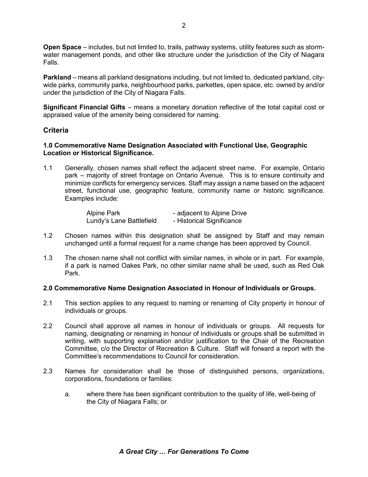**Open Space** – includes, but not limited to, trails, pathway systems, utility features such as stormwater management ponds, and other like structure under the jurisdiction of the City of Niagara Falls.

**Parkland** – means all parkland designations including, but not limited to, dedicated parkland, citywide parks, community parks, neighbourhood parks, parkettes, open space, etc. owned by and/or under the jurisdiction of the City of Niagara Falls.

**Significant Financial Gifts** – means a monetary donation reflective of the total capital cost or appraised value of the amenity being considered for naming.

# **Criteria**

### **1.0 Commemorative Name Designation Associated with Functional Use, Geographic Location or Historical Significance.**

1.1 Generally, chosen names shall reflect the adjacent street name. For example, Ontario park – majority of street frontage on Ontario Avenue. This is to ensure continuity and minimize conflicts for emergency services. Staff may assign a name based on the adjacent street, functional use, geographic feature, community name or historic significance. Examples include:

| <b>Alpine Park</b>       | - adjacent to Alpine Drive |
|--------------------------|----------------------------|
| Lundy's Lane Battlefield | - Historical Significance  |

- 1.2 Chosen names within this designation shall be assigned by Staff and may remain unchanged until a formal request for a name change has been approved by Council.
- 1.3 The chosen name shall not conflict with similar names, in whole or in part. For example, if a park is named Oakes Park, no other similar name shall be used, such as Red Oak Park.

# **2.0 Commemorative Name Designation Associated in Honour of Individuals or Groups.**

- 2.1 This section applies to any request to naming or renaming of City property in honour of individuals or groups.
- 2.2 Council shall approve all names in honour of individuals or groups. All requests for naming, designating or renaming in honour of individuals or groups shall be submitted in writing, with supporting explanation and/or justification to the Chair of the Recreation Committee, c/o the Director of Recreation & Culture. Staff will forward a report with the Committee's recommendations to Council for consideration.
- 2.3 Names for consideration shall be those of distinguished persons, organizations, corporations, foundations or families:
	- a. where there has been significant contribution to the quality of life, well-being of the City of Niagara Falls; or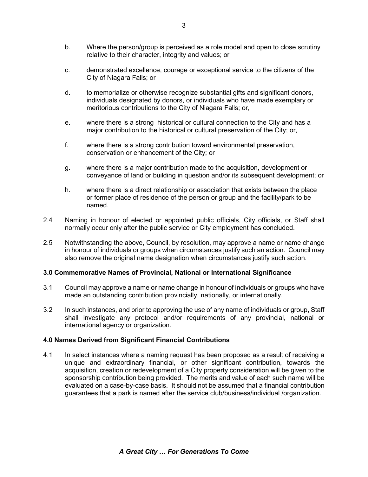- c. demonstrated excellence, courage or exceptional service to the citizens of the City of Niagara Falls; or
- d. to memorialize or otherwise recognize substantial gifts and significant donors, individuals designated by donors, or individuals who have made exemplary or meritorious contributions to the City of Niagara Falls; or,
- e. where there is a strong historical or cultural connection to the City and has a major contribution to the historical or cultural preservation of the City; or,
- f. where there is a strong contribution toward environmental preservation, conservation or enhancement of the City; or
- g. where there is a major contribution made to the acquisition, development or conveyance of land or building in question and/or its subsequent development; or
- h. where there is a direct relationship or association that exists between the place or former place of residence of the person or group and the facility/park to be named.
- 2.4 Naming in honour of elected or appointed public officials, City officials, or Staff shall normally occur only after the public service or City employment has concluded.
- 2.5 Notwithstanding the above, Council, by resolution, may approve a name or name change in honour of individuals or groups when circumstances justify such an action. Council may also remove the original name designation when circumstances justify such action.

# **3.0 Commemorative Names of Provincial, National or International Significance**

- 3.1 Council may approve a name or name change in honour of individuals or groups who have made an outstanding contribution provincially, nationally, or internationally.
- 3.2 In such instances, and prior to approving the use of any name of individuals or group, Staff shall investigate any protocol and/or requirements of any provincial, national or international agency or organization.

#### **4.0 Names Derived from Significant Financial Contributions**

4.1 In select instances where a naming request has been proposed as a result of receiving a unique and extraordinary financial, or other significant contribution, towards the acquisition, creation or redevelopment of a City property consideration will be given to the sponsorship contribution being provided. The merits and value of each such name will be evaluated on a case-by-case basis. It should not be assumed that a financial contribution guarantees that a park is named after the service club/business/individual /organization.

relative to their character, integrity and values; or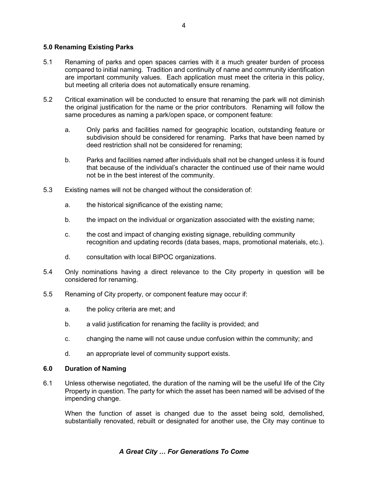# **5.0 Renaming Existing Parks**

- 5.1 Renaming of parks and open spaces carries with it a much greater burden of process compared to initial naming. Tradition and continuity of name and community identification are important community values. Each application must meet the criteria in this policy, but meeting all criteria does not automatically ensure renaming.
- 5.2 Critical examination will be conducted to ensure that renaming the park will not diminish the original justification for the name or the prior contributors. Renaming will follow the same procedures as naming a park/open space, or component feature:
	- a. Only parks and facilities named for geographic location, outstanding feature or subdivision should be considered for renaming. Parks that have been named by deed restriction shall not be considered for renaming;
	- b. Parks and facilities named after individuals shall not be changed unless it is found that because of the individual's character the continued use of their name would not be in the best interest of the community.
- 5.3 Existing names will not be changed without the consideration of:
	- a. the historical significance of the existing name;
	- b. the impact on the individual or organization associated with the existing name;
	- c. the cost and impact of changing existing signage, rebuilding community recognition and updating records (data bases, maps, promotional materials, etc.).
	- d. consultation with local BIPOC organizations.
- 5.4 Only nominations having a direct relevance to the City property in question will be considered for renaming.
- 5.5 Renaming of City property, or component feature may occur if:
	- a. the policy criteria are met; and
	- b. a valid justification for renaming the facility is provided; and
	- c. changing the name will not cause undue confusion within the community; and
	- d. an appropriate level of community support exists.

#### **6.0 Duration of Naming**

6.1 Unless otherwise negotiated, the duration of the naming will be the useful life of the City Property in question. The party for which the asset has been named will be advised of the impending change.

When the function of asset is changed due to the asset being sold, demolished, substantially renovated, rebuilt or designated for another use, the City may continue to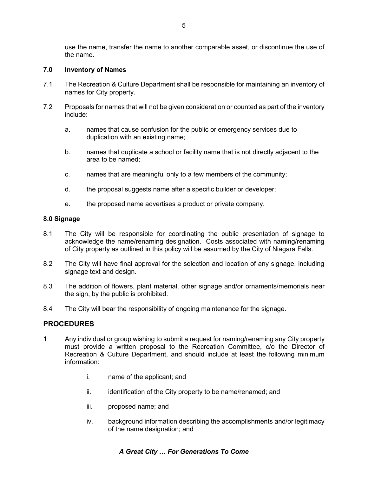use the name, transfer the name to another comparable asset, or discontinue the use of the name.

#### **7.0 Inventory of Names**

- 7.1 The Recreation & Culture Department shall be responsible for maintaining an inventory of names for City property.
- 7.2 Proposals for names that will not be given consideration or counted as part of the inventory include:
	- a. names that cause confusion for the public or emergency services due to duplication with an existing name;
	- b. names that duplicate a school or facility name that is not directly adjacent to the area to be named;
	- c. names that are meaningful only to a few members of the community;
	- d. the proposal suggests name after a specific builder or developer;
	- e. the proposed name advertises a product or private company.

#### **8.0 Signage**

- 8.1 The City will be responsible for coordinating the public presentation of signage to acknowledge the name/renaming designation. Costs associated with naming/renaming of City property as outlined in this policy will be assumed by the City of Niagara Falls.
- 8.2 The City will have final approval for the selection and location of any signage, including signage text and design.
- 8.3 The addition of flowers, plant material, other signage and/or ornaments/memorials near the sign, by the public is prohibited.
- 8.4 The City will bear the responsibility of ongoing maintenance for the signage.

# **PROCEDURES**

- 1 Any individual or group wishing to submit a request for naming/renaming any City property must provide a written proposal to the Recreation Committee, c/o the Director of Recreation & Culture Department, and should include at least the following minimum information:
	- i. name of the applicant; and
	- ii. identification of the City property to be name/renamed; and
	- iii. proposed name; and
	- iv. background information describing the accomplishments and/or legitimacy of the name designation; and

# *A Great City … For Generations To Come*